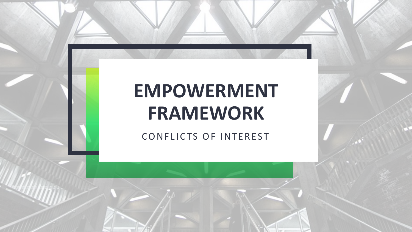# **EMPOWERMENT FRAMEWORK**

CONFLICTS OF INTEREST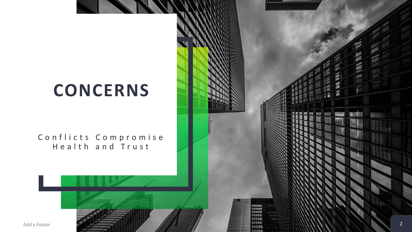# **CONCERNS**

Conflicts Compromise Health and Trust

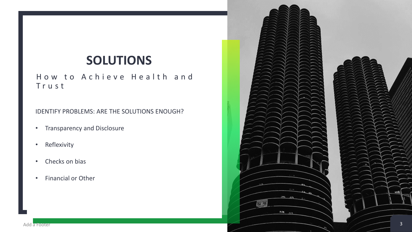## **SOLUTIONS**

How to Achieve Health and T r u s t

IDENTIFY PROBLEMS: ARE THE SOLUTIONS ENOUGH?

- Transparency and Disclosure
- Reflexivity
- Checks on bias
- Financial or Other



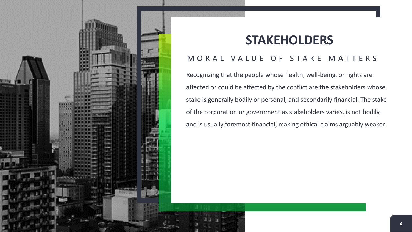

## **STAKEHOLDERS**

#### MORAL VALUE OF STAKE MATTERS

Recognizing that the people whose health, well-being, or rights are affected or could be affected by the conflict are the stakeholders whose stake is generally bodily or personal, and secondarily financial. The stake of the corporation or government as stakeholders varies, is not bodily, and is usually foremost financial, making ethical claims arguably weaker.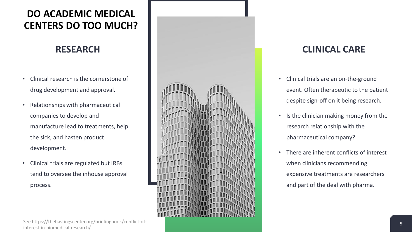### **DO ACADEMIC MEDICAL CENTERS DO TOO MUCH?**

#### **RESEARCH**

- Clinical research is the cornerstone of drug development and approval.
- Relationships with pharmaceutical companies to develop and manufacture lead to treatments, help the sick, and hasten product development.
- Clinical trials are regulated but IRBs tend to oversee the inhouse approval process.





#### **CLINICAL CARE**

- Clinical trials are an on-the-ground event. Often therapeutic to the patient despite sign-off on it being research.
- Is the clinician making money from the research relationship with the pharmaceutical company?
- There are inherent conflicts of interest when clinicians recommending expensive treatments are researchers and part of the deal with pharma.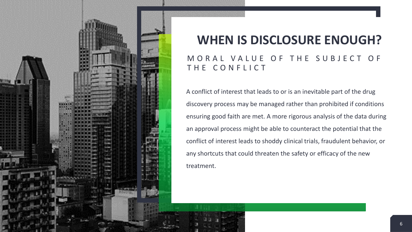

## **WHEN IS DISCLOSURE ENOUGH?**

#### MORAL VALUE OF THE SUBJECT OF THE CONFLICT

A conflict of interest that leads to or is an inevitable part of the drug discovery process may be managed rather than prohibited if conditions ensuring good faith are met. A more rigorous analysis of the data during an approval process might be able to counteract the potential that the conflict of interest leads to shoddy clinical trials, fraudulent behavior, or any shortcuts that could threaten the safety or efficacy of the new treatment.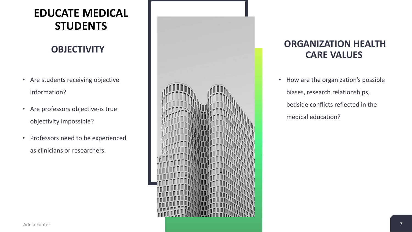### **EDUCATE MEDICAL STUDENTS**

### **OBJECTIVITY**

- Are students receiving objective information?
- Are professors objective-is true objectivity impossible?
- Professors need to be experienced as clinicians or researchers.



### **ORGANIZATION HEALTH CARE VALUES**

• How are the organization's possible biases, research relationships, bedside conflicts reflected in the medical education?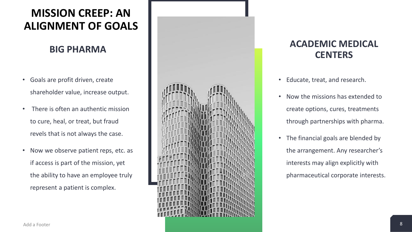### **MISSION CREEP: AN ALIGNMENT OF GOALS**

#### **BIG PHARMA**

- Goals are profit driven, create shareholder value, increase output.
- There is often an authentic mission to cure, heal, or treat, but fraud revels that is not always the case.
- Now we observe patient reps, etc. as if access is part of the mission, yet the ability to have an employee truly represent a patient is complex.



### **ACADEMIC MEDICAL CENTERS**

- Educate, treat, and research.
- Now the missions has extended to create options, cures, treatments through partnerships with pharma.
- The financial goals are blended by the arrangement. Any researcher's interests may align explicitly with pharmaceutical corporate interests.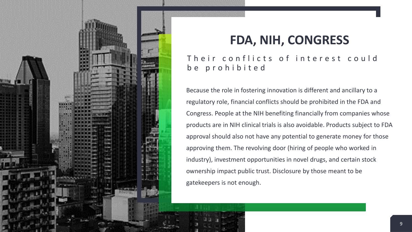

## **FDA, NIH, CONGRESS**

#### Their conflicts of interest could b e p r o h i b i t e d

Because the role in fostering innovation is different and ancillary to a regulatory role, financial conflicts should be prohibited in the FDA and Congress. People at the NIH benefiting financially from companies whose products are in NIH clinical trials is also avoidable. Products subject to FDA approval should also not have any potential to generate money for those approving them. The revolving door (hiring of people who worked in industry), investment opportunities in novel drugs, and certain stock ownership impact public trust. Disclosure by those meant to be gatekeepers is not enough.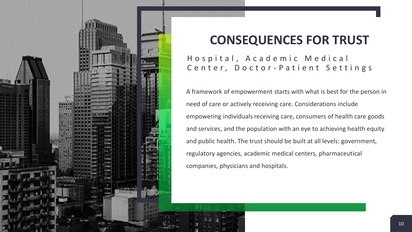

# **CONSEQUENCES FOR TRUST**

#### Hospital, A cademic Medical Center, Doctor-Patient Settings

A framework of empowerment starts with what is best for the person in need of care or actively receiving care. Considerations include empowering individuals receiving care, consumers of health care goods and services, and the population with an eye to achieving health equity and public health. The trust should be built at all levels: government, regulatory agencies, academic medical centers, pharmaceutical companies, physicians and hospitals.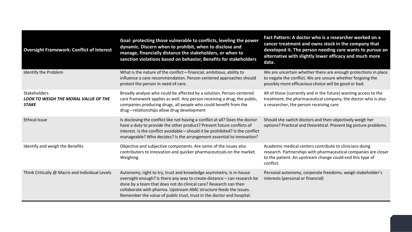| <b>Oversight Framework: Conflict of Interest</b>                            | Goal: protecting those vulnerable to conflicts, leveling the power<br>dynamic. Discern when to prohibit, when to disclose and<br>manage, financially distance the stakeholders, or when to<br>sanction violations based on behavior, Benefits for stakeholders                                                                                                  | Fact Pattern: A doctor who is a researcher worked on a<br>cancer treatment and owns stock in the company that<br>developed it. The person needing care wants to pursue an<br>alternative with slightly lower efficacy and much more<br>data. |
|-----------------------------------------------------------------------------|-----------------------------------------------------------------------------------------------------------------------------------------------------------------------------------------------------------------------------------------------------------------------------------------------------------------------------------------------------------------|----------------------------------------------------------------------------------------------------------------------------------------------------------------------------------------------------------------------------------------------|
| Identify the Problem                                                        | What is the nature of the conflict-financial, ambitious, ability to<br>influence a care recommendation. Person-centered approaches should<br>protect the person in need of care.                                                                                                                                                                                | We are uncertain whether there are enough protections in place<br>to negate the conflict. We are unsure whether forgoing the<br>possibly more efficacious choice will be good or bad.                                                        |
| Stakeholders<br><b>LOOK TO WEIGH THE MORAL VALUE OF THE</b><br><b>STAKE</b> | Broadly analyze who could be affected by a solution. Person-centered<br>care framework applies as well. Any person receiving a drug, the public,<br>companies producing drugs, all people who could benefit from the<br>drug-relationships allow drug development                                                                                               | All of those (currently and in the future) wanting access to the<br>treatment, the pharmaceutical company, the doctor who is also<br>a researcher, the person receiving care                                                                 |
| <b>Ethical Issue</b>                                                        | Is disclosing the conflict like not having a conflict at all? Does the doctor<br>have a duty to provide the other product? Prevent future conflicts of<br>interest. Is the conflict avoidable-should it be prohibited? Is the conflict<br>manageable? Who decides? Is the arrangement essential to innovation?                                                  | Should she switch doctors and then objectively weigh her<br>options? Practical and theoretical. Prevent big picture problems.                                                                                                                |
| Identify and weigh the Benefits                                             | Objective and subjective components. Are some of the issues also<br>contributors to innovation and quicker pharmaceuticals on the market.<br>Weighing.                                                                                                                                                                                                          | Academic medical centers contribute to clinicians doing<br>research. Partnerships with pharmaceutical companies are closer<br>to the patient. An upstream change could end this type of<br>conflict.                                         |
| Think Critically @ Macro and Individual Levels                              | Autonomy, right to try, trust and knowledge asymmetry, Is in-house<br>oversight enough? Is there any way to create distance - can research be<br>done by a team that does not do clinical care? Research can then<br>collaborate with pharma. Upstream AMC structure feeds the issues.<br>Remember the value of public trust, trust in the doctor and hospital. | Personal autonomy, corporate freedoms, weigh stakeholder's<br>interests (personal or financial)                                                                                                                                              |